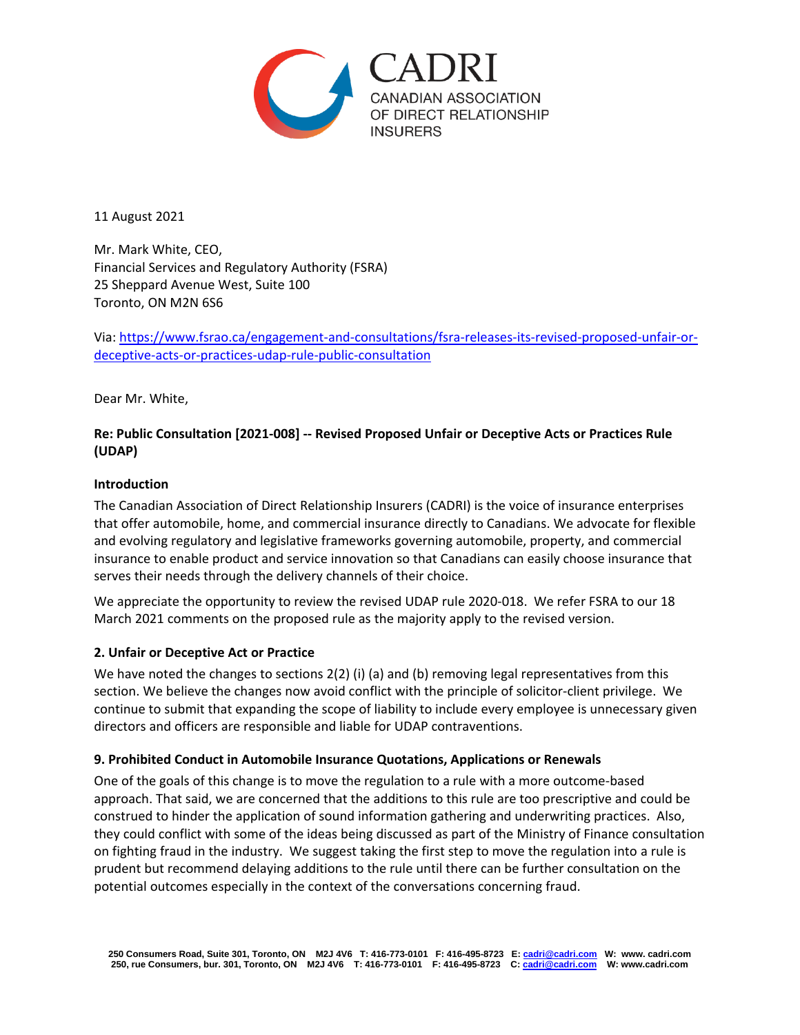

11 August 2021

Mr. Mark White, CEO, Financial Services and Regulatory Authority (FSRA) 25 Sheppard Avenue West, Suite 100 Toronto, ON M2N 6S6

Via: [https://www.fsrao.ca/engagement-and-consultations/fsra-releases-its-revised-proposed-unfair-or](https://www.fsrao.ca/engagement-and-consultations/fsra-releases-its-revised-proposed-unfair-or-deceptive-acts-or-practices-udap-rule-public-consultation)[deceptive-acts-or-practices-udap-rule-public-consultation](https://www.fsrao.ca/engagement-and-consultations/fsra-releases-its-revised-proposed-unfair-or-deceptive-acts-or-practices-udap-rule-public-consultation)

Dear Mr. White,

# **Re: Public Consultation [2021-008] -- Revised Proposed Unfair or Deceptive Acts or Practices Rule (UDAP)**

## **Introduction**

The Canadian Association of Direct Relationship Insurers (CADRI) is the voice of insurance enterprises that offer automobile, home, and commercial insurance directly to Canadians. We advocate for flexible and evolving regulatory and legislative frameworks governing automobile, property, and commercial insurance to enable product and service innovation so that Canadians can easily choose insurance that serves their needs through the delivery channels of their choice.

We appreciate the opportunity to review the revised UDAP rule 2020-018. We refer FSRA to our 18 March 2021 comments on the proposed rule as the majority apply to the revised version.

#### **2. Unfair or Deceptive Act or Practice**

We have noted the changes to sections 2(2) (i) (a) and (b) removing legal representatives from this section. We believe the changes now avoid conflict with the principle of solicitor-client privilege. We continue to submit that expanding the scope of liability to include every employee is unnecessary given directors and officers are responsible and liable for UDAP contraventions.

#### **9. Prohibited Conduct in Automobile Insurance Quotations, Applications or Renewals**

One of the goals of this change is to move the regulation to a rule with a more outcome-based approach. That said, we are concerned that the additions to this rule are too prescriptive and could be construed to hinder the application of sound information gathering and underwriting practices. Also, they could conflict with some of the ideas being discussed as part of the Ministry of Finance consultation on fighting fraud in the industry. We suggest taking the first step to move the regulation into a rule is prudent but recommend delaying additions to the rule until there can be further consultation on the potential outcomes especially in the context of the conversations concerning fraud.